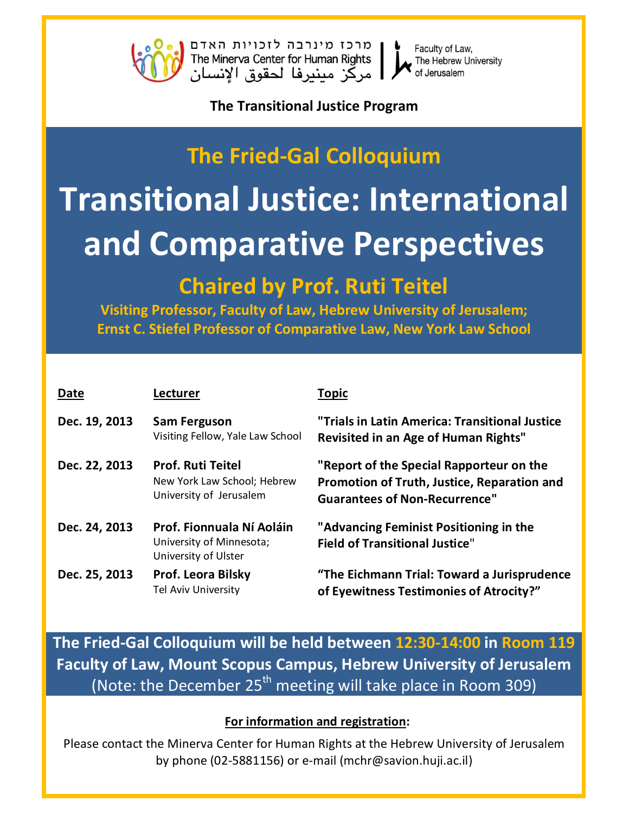

**The Transitional Justice Program** 

Faculty of Law,

The Hebrew University

### **The Fried-Gal Colloquium**

# **Transitional Justice: International** and Comparative Perspectives

## **Chaired by Prof. Ruti Teitel**

Visiting Professor, Faculty of Law, Hebrew University of Jerusalem; **Ernst C. Stiefel Professor of Comparative Law, New York Law School** 

| Date          | Lecturer                                                                           | <b>Topic</b>                                                                                                                    |
|---------------|------------------------------------------------------------------------------------|---------------------------------------------------------------------------------------------------------------------------------|
| Dec. 19, 2013 | <b>Sam Ferguson</b><br>Visiting Fellow, Yale Law School                            | "Trials in Latin America: Transitional Justice<br><b>Revisited in an Age of Human Rights"</b>                                   |
| Dec. 22, 2013 | <b>Prof. Ruti Teitel</b><br>New York Law School; Hebrew<br>University of Jerusalem | "Report of the Special Rapporteur on the<br>Promotion of Truth, Justice, Reparation and<br><b>Guarantees of Non-Recurrence"</b> |
| Dec. 24, 2013 | Prof. Fionnuala Ní Aoláin<br>University of Minnesota;<br>University of Ulster      | "Advancing Feminist Positioning in the<br><b>Field of Transitional Justice"</b>                                                 |
| Dec. 25, 2013 | <b>Prof. Leora Bilsky</b><br>Tel Aviv University                                   | "The Eichmann Trial: Toward a Jurisprudence<br>of Eyewitness Testimonies of Atrocity?"                                          |

The Fried-Gal Colloquium will be held between 12:30-14:00 in Room 119 Faculty of Law, Mount Scopus Campus, Hebrew University of Jerusalem (Note: the December 25<sup>th</sup> meeting will take place in Room 309)

#### For information and registration:

Please contact the Minerva Center for Human Rights at the Hebrew University of Jerusalem by phone (02-5881156) or e-mail (mchr@savion.huji.ac.il)